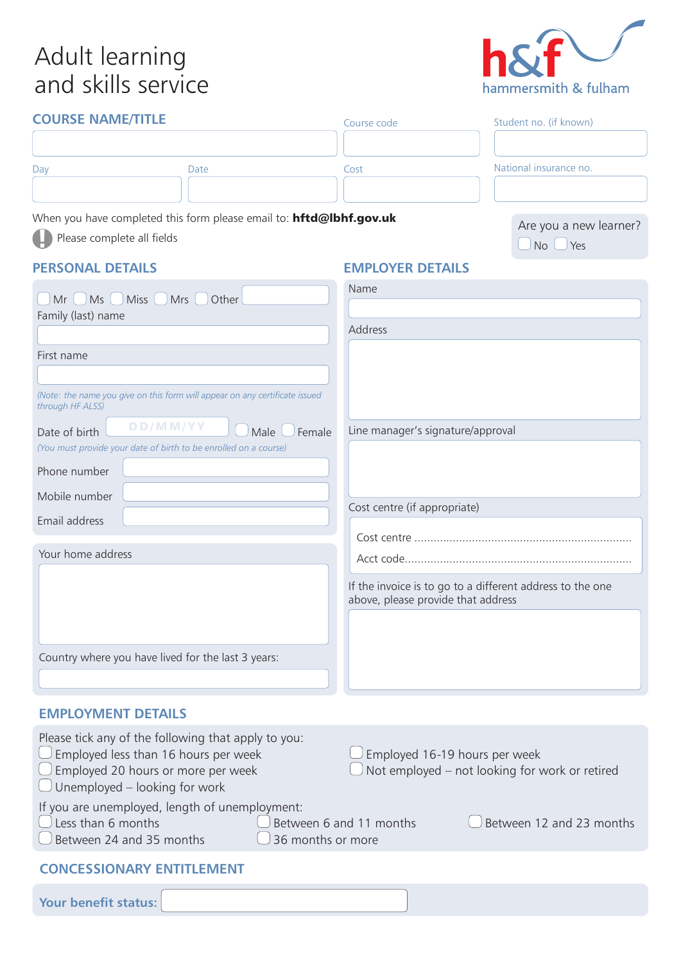# Adult learning and skills service



| <b>COURSE NAME/TITLE</b>                                                                        |                    | Course code                                                                                     | Student no. (if known) |  |
|-------------------------------------------------------------------------------------------------|--------------------|-------------------------------------------------------------------------------------------------|------------------------|--|
|                                                                                                 |                    |                                                                                                 |                        |  |
| Day                                                                                             | Date               | Cost                                                                                            | National insurance no. |  |
|                                                                                                 |                    |                                                                                                 |                        |  |
| When you have completed this form please email to: hftd@lbhf.gov.uk                             |                    |                                                                                                 | Are you a new learner? |  |
| Please complete all fields                                                                      |                    |                                                                                                 | $\Box$ No $\Box$ Yes   |  |
| <b>PERSONAL DETAILS</b>                                                                         |                    | <b>EMPLOYER DETAILS</b>                                                                         |                        |  |
| $Mr \cup Ms \cup Miss \cup Mrs$                                                                 | Other              | Name                                                                                            |                        |  |
| Family (last) name                                                                              |                    |                                                                                                 |                        |  |
|                                                                                                 |                    | Address                                                                                         |                        |  |
| First name                                                                                      |                    |                                                                                                 |                        |  |
|                                                                                                 |                    |                                                                                                 |                        |  |
| (Note: the name you give on this form will appear on any certificate issued<br>through HF ALSS) |                    |                                                                                                 |                        |  |
| DD/MM/YY<br>Date of birth                                                                       | Male $($<br>Female | Line manager's signature/approval                                                               |                        |  |
| (You must provide your date of birth to be enrolled on a course)                                |                    |                                                                                                 |                        |  |
| Phone number                                                                                    |                    |                                                                                                 |                        |  |
| Mobile number                                                                                   |                    | Cost centre (if appropriate)                                                                    |                        |  |
| Email address                                                                                   |                    |                                                                                                 |                        |  |
|                                                                                                 |                    |                                                                                                 |                        |  |
| Your home address                                                                               |                    |                                                                                                 |                        |  |
|                                                                                                 |                    | If the invoice is to go to a different address to the one<br>above, please provide that address |                        |  |
|                                                                                                 |                    |                                                                                                 |                        |  |
| Country where you have lived for the last 3 years:                                              |                    |                                                                                                 |                        |  |
|                                                                                                 |                    |                                                                                                 |                        |  |
|                                                                                                 |                    |                                                                                                 |                        |  |
| <b>EMPLOYMENT DETAILS</b>                                                                       |                    |                                                                                                 |                        |  |
| Place tick any of the following that apply to you                                               |                    |                                                                                                 |                        |  |

| Flease tick any of the following that apply to you.<br>$\bigcup$ Employed less than 16 hours per week<br>$\bigcup$ Employed 20 hours or more per week<br>$\bigcup$ Unemployed – looking for work | $\Box$                                                        | $\bigcup$ Employed 16-19 hours per week<br>$\theta$ Not employed – not looking for work or retired |
|--------------------------------------------------------------------------------------------------------------------------------------------------------------------------------------------------|---------------------------------------------------------------|----------------------------------------------------------------------------------------------------|
| If you are unemployed, length of unemployment:<br>$\bigcup$ Less than 6 months<br>$\bigcup$ Between 24 and 35 months                                                                             | $\Box$ Between 6 and 11 months<br>$\bigcup$ 36 months or more | $\bigcup$ Between 12 and 23 months                                                                 |
| <b>CONCESSIONARY ENTITLEMENT</b>                                                                                                                                                                 |                                                               |                                                                                                    |
| Your benefit status:                                                                                                                                                                             |                                                               |                                                                                                    |